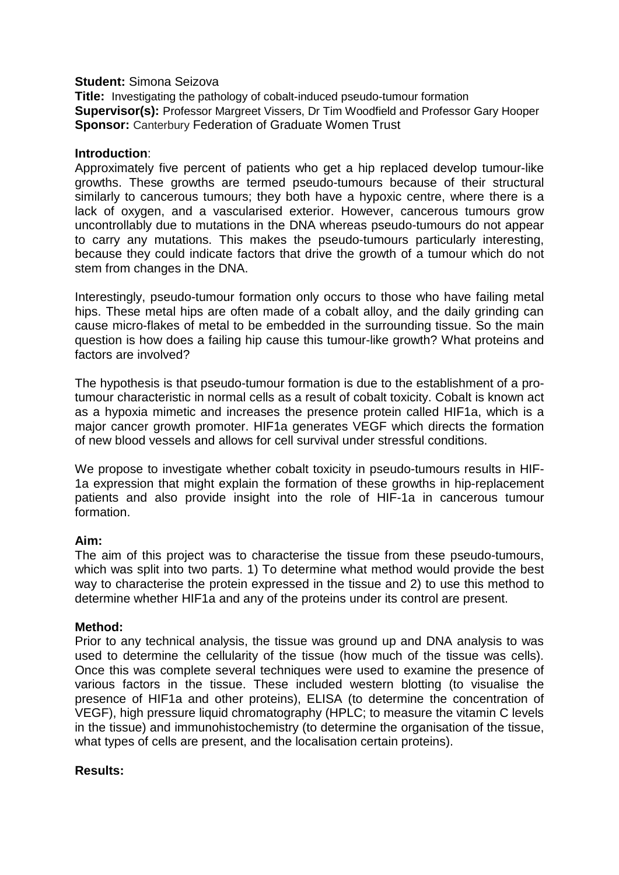### **Student:** Simona Seizova

**Title:** Investigating the pathology of cobalt-induced pseudo-tumour formation **Supervisor(s):** Professor Margreet Vissers, Dr Tim Woodfield and Professor Gary Hooper **Sponsor: Canterbury Federation of Graduate Women Trust** 

### **Introduction**:

Approximately five percent of patients who get a hip replaced develop tumour-like growths. These growths are termed pseudo-tumours because of their structural similarly to cancerous tumours; they both have a hypoxic centre, where there is a lack of oxygen, and a vascularised exterior. However, cancerous tumours grow uncontrollably due to mutations in the DNA whereas pseudo-tumours do not appear to carry any mutations. This makes the pseudo-tumours particularly interesting, because they could indicate factors that drive the growth of a tumour which do not stem from changes in the DNA.

Interestingly, pseudo-tumour formation only occurs to those who have failing metal hips. These metal hips are often made of a cobalt alloy, and the daily grinding can cause micro-flakes of metal to be embedded in the surrounding tissue. So the main question is how does a failing hip cause this tumour-like growth? What proteins and factors are involved?

The hypothesis is that pseudo-tumour formation is due to the establishment of a protumour characteristic in normal cells as a result of cobalt toxicity. Cobalt is known act as a hypoxia mimetic and increases the presence protein called HIF1a, which is a major cancer growth promoter. HIF1a generates VEGF which directs the formation of new blood vessels and allows for cell survival under stressful conditions.

We propose to investigate whether cobalt toxicity in pseudo-tumours results in HIF-1a expression that might explain the formation of these growths in hip-replacement patients and also provide insight into the role of HIF-1a in cancerous tumour formation.

# **Aim:**

The aim of this project was to characterise the tissue from these pseudo-tumours, which was split into two parts. 1) To determine what method would provide the best way to characterise the protein expressed in the tissue and 2) to use this method to determine whether HIF1a and any of the proteins under its control are present.

#### **Method:**

Prior to any technical analysis, the tissue was ground up and DNA analysis to was used to determine the cellularity of the tissue (how much of the tissue was cells). Once this was complete several techniques were used to examine the presence of various factors in the tissue. These included western blotting (to visualise the presence of HIF1a and other proteins), ELISA (to determine the concentration of VEGF), high pressure liquid chromatography (HPLC; to measure the vitamin C levels in the tissue) and immunohistochemistry (to determine the organisation of the tissue, what types of cells are present, and the localisation certain proteins).

# **Results:**